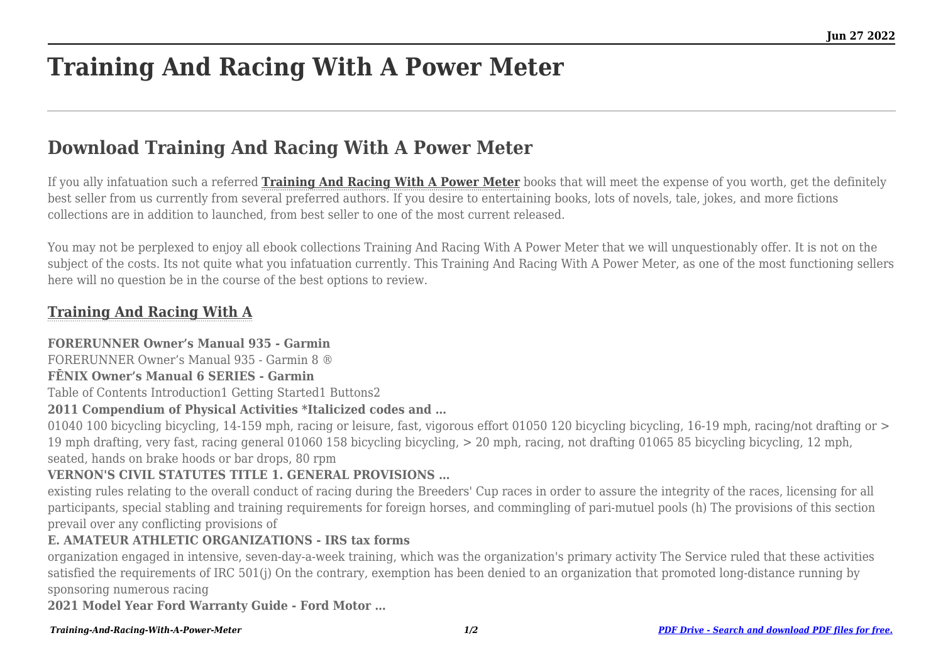# **Training And Racing With A Power Meter**

## **Download Training And Racing With A Power Meter**

If you ally infatuation such a referred **[Training And Racing With A Power Meter](http://theknottedllama.com)** books that will meet the expense of you worth, get the definitely best seller from us currently from several preferred authors. If you desire to entertaining books, lots of novels, tale, jokes, and more fictions collections are in addition to launched, from best seller to one of the most current released.

You may not be perplexed to enjoy all ebook collections Training And Racing With A Power Meter that we will unquestionably offer. It is not on the subject of the costs. Its not quite what you infatuation currently. This Training And Racing With A Power Meter, as one of the most functioning sellers here will no question be in the course of the best options to review.

### **[Training And Racing With A](http://theknottedllama.com/Training-And-Racing-With-A-Power-Meter.pdf)**

#### **FORERUNNER Owner's Manual 935 - Garmin**

FORERUNNER Owner's Manual 935 - Garmin 8 ®

#### **FĒNIX Owner's Manual 6 SERIES - Garmin**

Table of Contents Introduction1 Getting Started1 Buttons2

#### **2011 Compendium of Physical Activities \*Italicized codes and …**

01040 100 bicycling bicycling, 14-159 mph, racing or leisure, fast, vigorous effort 01050 120 bicycling bicycling, 16-19 mph, racing/not drafting or > 19 mph drafting, very fast, racing general 01060 158 bicycling bicycling, > 20 mph, racing, not drafting 01065 85 bicycling bicycling, 12 mph, seated, hands on brake hoods or bar drops, 80 rpm

#### **VERNON'S CIVIL STATUTES TITLE 1. GENERAL PROVISIONS …**

existing rules relating to the overall conduct of racing during the Breeders' Cup races in order to assure the integrity of the races, licensing for all participants, special stabling and training requirements for foreign horses, and commingling of pari-mutuel pools (h) The provisions of this section prevail over any conflicting provisions of

#### **E. AMATEUR ATHLETIC ORGANIZATIONS - IRS tax forms**

organization engaged in intensive, seven-day-a-week training, which was the organization's primary activity The Service ruled that these activities satisfied the requirements of IRC 501(j) On the contrary, exemption has been denied to an organization that promoted long-distance running by sponsoring numerous racing

**2021 Model Year Ford Warranty Guide - Ford Motor …**